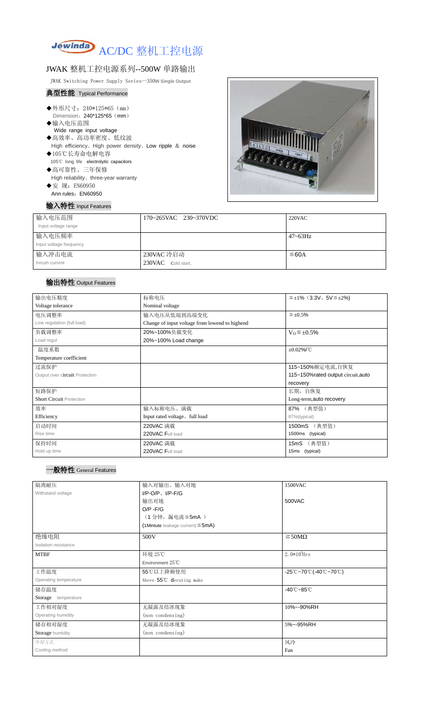

# JWAK 整机工控电源系列--500W 单路输出

JWAK Switching Power Supply Series--350**W Single Output**

### 典型性能 Typical Performance

- ◆外形尺寸: 240\*125\*65 (mm) Dimension: 240\*125\*65 (mm)
- ◆输入电压范围 Wide range input voltage
- ◆高效率、高功率密度、低纹波 High efficiency、High power density、Low ripple & noise
- ◆105℃长寿命电解电容 105℃ long life electrolytic capacitors
- ◆高可靠性、三年保修 High reliability、three-year warranty ◆安 规: EN60950
- Ann rules: EN60950

## 输入特性 Input Features



| 输入电压范围<br>Input voltage range     | 170~265VAC 230~370VDC            | 220VAC       |
|-----------------------------------|----------------------------------|--------------|
| 输入电压频率<br>Input voltage frequency |                                  | $47 - 63$ Hz |
| 输入冲击电流<br>Inrush current          | 230VAC 冷启动<br>230VAC Cold start, | ≤60A         |

# 输出特性 Output Features

| 输出电压精度                          | 标称电压                                           | $\leq \pm 1\%$ (3.3V, 5V $\leq \pm 2\%$ ) |  |
|---------------------------------|------------------------------------------------|-------------------------------------------|--|
| Voltage tolerance               | Nominal voltage                                |                                           |  |
| 电压调整率                           | 输入电压从低端到高端变化                                   | $\leq \pm 0.5\%$                          |  |
| Line regulation (full load)     | Change of input voltage from lowend to highend |                                           |  |
| 负载调整率                           | 20%~100%负载变化                                   | $V_0 \leq \pm 0.5\%$                      |  |
| Load regul                      | 20%~100% Load change                           |                                           |  |
| 温度系数                            | $\pm 0.02\%$ /°C                               |                                           |  |
| Temperature coefficient         |                                                |                                           |  |
| 过流保护                            | 115~150%额定电流,自恢复                               |                                           |  |
| Output over circuit Protection  | 115~150%rated output circuit, auto             |                                           |  |
|                                 |                                                | recovery                                  |  |
| 短路保护                            | 长期, 自恢复                                        |                                           |  |
| <b>Short Circuit Protection</b> |                                                | Long-term, auto recovery                  |  |
| 效率                              | 输入标称电压、满载                                      | 87% (典型值)                                 |  |
| Efficiency                      | Input rated voltage, full load                 | 87%(typical)                              |  |
| 启动时间                            | 220VAC 满载                                      | (典型值)<br>1500mS                           |  |
| Rise time                       | 220VAC Full load                               | 1500ms (typical)                          |  |
| 保持时间                            | 220VAC 满载                                      | (典型值)<br>15mS                             |  |
| Hold up time                    | 220VAC Full load                               | 15ms (typical)                            |  |

| 隔离耐压                  | 输入对输出、输入对地<br>1500VAC                     |                                                                               |  |
|-----------------------|-------------------------------------------|-------------------------------------------------------------------------------|--|
| Withstand voltage     | $I/P-O/P$ , $I/P$ -F/G                    |                                                                               |  |
|                       | 输出对地                                      | 500VAC                                                                        |  |
|                       | $O/P - F/G$                               |                                                                               |  |
|                       | (1分钟,漏电流 ≦ 5mA)                           |                                                                               |  |
|                       | $(1$ Mintute leakage current) $\leq$ 5mA) |                                                                               |  |
| 绝缘电阻                  | 500V                                      | $\geq$ 50M $\Omega$                                                           |  |
| Isolation resistance  |                                           |                                                                               |  |
| <b>MTBF</b>           | 环境 25℃                                    | $2.0*105$ Hrs                                                                 |  |
|                       | Environment 25°C                          |                                                                               |  |
| 工作温度                  | 55℃以上降额使用                                 | $-25^{\circ}\text{C}-70^{\circ}\text{C}$ (-40 $\text{C}-70^{\circ}\text{C}$ ) |  |
| Operating temperature | Above 55°C derating make                  |                                                                               |  |
| 储存温度                  |                                           | $-40^{\circ}$ C $-85^{\circ}$ C                                               |  |
| Storage temperature   |                                           |                                                                               |  |
| 工作相对湿度                | 无凝露及结冰现象                                  | 10%~-90%RH                                                                    |  |
| Operating humidity    | (non condensing)                          |                                                                               |  |
| 储存相对湿度                | 无凝露及结冰现象                                  | 5%~-95%RH                                                                     |  |
| Storage humidity      | (non condensing)                          |                                                                               |  |
| 冷却方式                  |                                           | 风冷                                                                            |  |
| Cooling method        |                                           | Fan                                                                           |  |